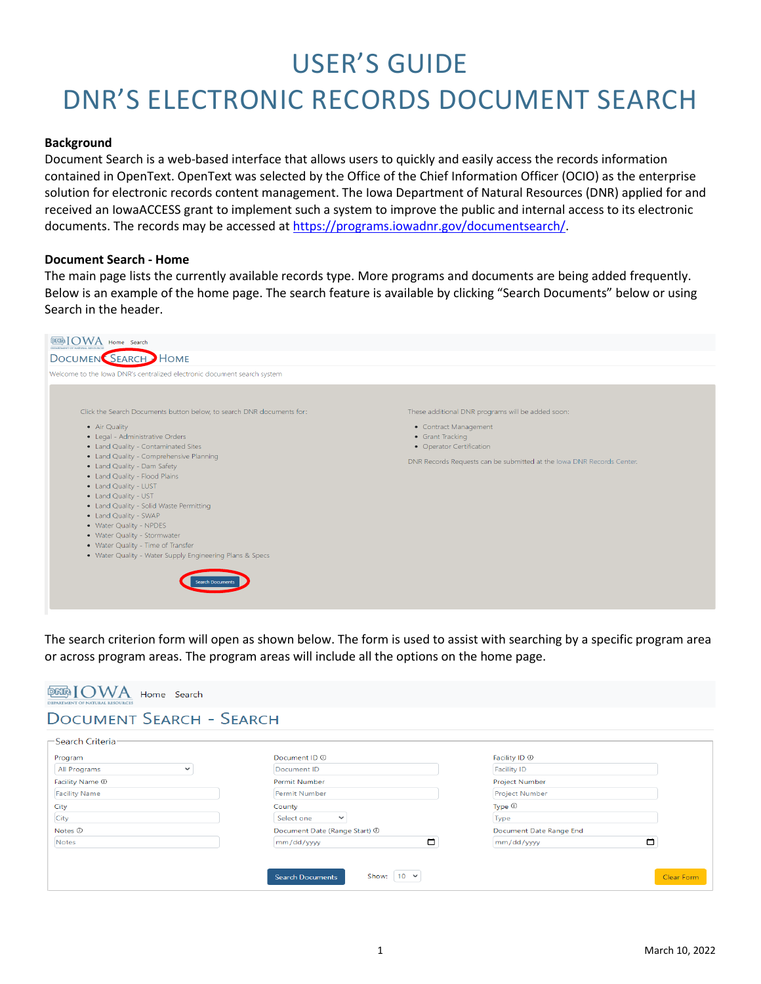# USER'S GUIDE

# DNR'S ELECTRONIC RECORDS DOCUMENT SEARCH

#### **Background**

Document Search is a web-based interface that allows users to quickly and easily access the records information contained in OpenText. OpenText was selected by the Office of the Chief Information Officer (OCIO) as the enterprise solution for electronic records content management. The Iowa Department of Natural Resources (DNR) applied for and received an IowaACCESS grant to implement such a system to improve the public and internal access to its electronic documents. The records may be accessed a[t https://programs.iowadnr.gov/documentsearch/.](https://programs.iowadnr.gov/documentsearch/)

#### **Document Search - Home**

The main page lists the currently available records type. More programs and documents are being added frequently. Below is an example of the home page. The search feature is available by clicking "Search Documents" below or using Search in the header.



The search criterion form will open as shown below. The form is used to assist with searching by a specific program area or across program areas. The program areas will include all the options on the home page.

| <b>DOCUMENT SEARCH - SEARCH</b> |                               |                          |
|---------------------------------|-------------------------------|--------------------------|
| -Search Criteria                |                               |                          |
| Program                         | Document ID <sup>(D)</sup>    | Facility ID <sup>1</sup> |
| All Programs<br>$\checkmark$    | Document ID                   | <b>Facility ID</b>       |
| Facility Name $@$               | Permit Number                 | Project Number           |
| <b>Facility Name</b>            | <b>Permit Number</b>          | <b>Project Number</b>    |
| City                            | County                        | Type $\circledcirc$      |
| City                            | Select one<br>$\checkmark$    | Type                     |
| Notes <b><i>O</i></b>           | Document Date (Range Start) 1 | Document Date Range End  |
| <b>Notes</b>                    | $\Box$<br>mm/dd/yyyy          | □<br>mm/dd/yyyy          |
|                                 |                               |                          |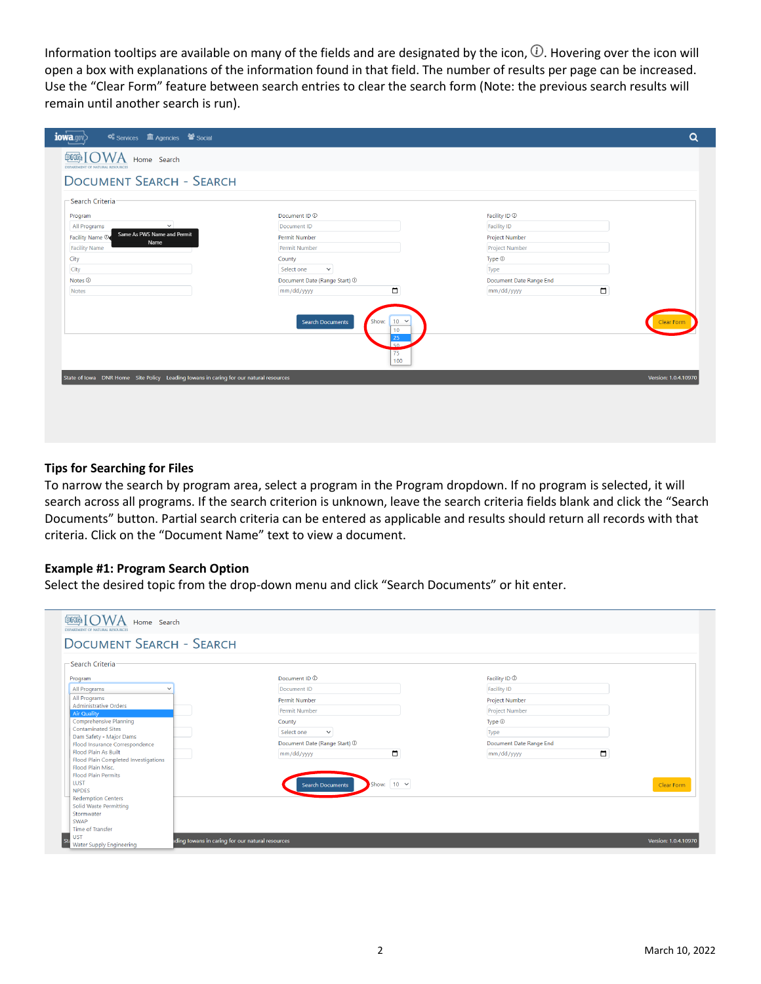Information tooltips are available on many of the fields and are designated by the icon,  $\oplus$ . Hovering over the icon will open a box with explanations of the information found in that field. The number of results per page can be increased. Use the "Clear Form" feature between search entries to clear the search form (Note: the previous search results will remain until another search is run).

| iowa.qov<br><b>C</b> <sup>8</sup> Services IIII Agencies <sup>2</sup> Social          |                                                                                                          |                               | Q                    |
|---------------------------------------------------------------------------------------|----------------------------------------------------------------------------------------------------------|-------------------------------|----------------------|
| <b>DEER IOWA</b> Home Search<br>DEPARTMENT OF NATURAL RESOURCES                       |                                                                                                          |                               |                      |
| <b>DOCUMENT SEARCH - SEARCH</b>                                                       |                                                                                                          |                               |                      |
| -Search Criteria                                                                      |                                                                                                          |                               |                      |
| Program<br>$\checkmark$                                                               | Document ID <sup>(1)</sup>                                                                               | Facility ID <sup>(1)</sup>    |                      |
| All Programs<br>Same As PWS Name and Permit<br>Facility Name ®                        | Document ID<br>Permit Number                                                                             | Facility ID<br>Project Number |                      |
| Name<br><b>Facility Name</b>                                                          | Permit Number                                                                                            | <b>Project Number</b>         |                      |
| City                                                                                  | County                                                                                                   | Type $\circledcirc$           |                      |
| City                                                                                  | Select one<br>$\checkmark$                                                                               | Type                          |                      |
| Notes <b>①</b>                                                                        | Document Date (Range Start) 1                                                                            | Document Date Range End       |                      |
| <b>Notes</b>                                                                          | $\Box$<br>mm/dd/yyyy                                                                                     | $\Box$<br>mm/dd/yyyy          |                      |
|                                                                                       | $10 \times$<br>Show:<br><b>Search Documents</b><br>10 <sup>°</sup><br>25<br>50 <sub>1</sub><br>75<br>100 |                               | lear For             |
| State of Iowa DNR Home Site Policy Leading Iowans in caring for our natural resources |                                                                                                          |                               | Version: 1.0.4.10970 |
|                                                                                       |                                                                                                          |                               |                      |
|                                                                                       |                                                                                                          |                               |                      |
|                                                                                       |                                                                                                          |                               |                      |

#### **Tips for Searching for Files**

To narrow the search by program area, select a program in the Program dropdown. If no program is selected, it will search across all programs. If the search criterion is unknown, leave the search criteria fields blank and click the "Search Documents" button. Partial search criteria can be entered as applicable and results should return all records with that criteria. Click on the "Document Name" text to view a document.

#### **Example #1: Program Search Option**

Select the desired topic from the drop-down menu and click "Search Documents" or hit enter.

| <b>DOCUMENT SEARCH - SEARCH</b>                        |                                              |                            |            |
|--------------------------------------------------------|----------------------------------------------|----------------------------|------------|
|                                                        |                                              |                            |            |
| -Search Criteria:                                      |                                              |                            |            |
| Program                                                | Document ID <sup>(1)</sup>                   | Facility ID <sup>(1)</sup> |            |
| All Programs<br>$\checkmark$                           | Document ID                                  | <b>Facility ID</b>         |            |
| All Programs                                           | Permit Number                                | <b>Project Number</b>      |            |
| <b>Administrative Orders</b>                           | Permit Number                                | <b>Project Number</b>      |            |
| <b>Air Quality</b><br>Comprehensive Planning           | County                                       | Type <sup>1</sup>          |            |
| <b>Contaminated Sites</b>                              | Select one<br>$\checkmark$                   | Type                       |            |
| Dam Safety - Major Dams                                |                                              |                            |            |
| Flood Insurance Correspondence<br>Flood Plain As Built | Document Date (Range Start) 1<br>$\Box$      | Document Date Range End    |            |
| Flood Plain Completed Investigations                   | mm/dd/yyyy                                   | $\Box$<br>mm/dd/yyyy       |            |
| Flood Plain Misc.                                      |                                              |                            |            |
| <b>Flood Plain Permits</b>                             |                                              |                            |            |
| <b>LUST</b><br><b>NPDES</b>                            | Show: $10 \times$<br><b>Search Documents</b> |                            | Clear Form |
| <b>Redemption Centers</b>                              |                                              |                            |            |
| <b>Solid Waste Permitting</b>                          |                                              |                            |            |
| Stormwater                                             |                                              |                            |            |
| <b>SWAP</b>                                            |                                              |                            |            |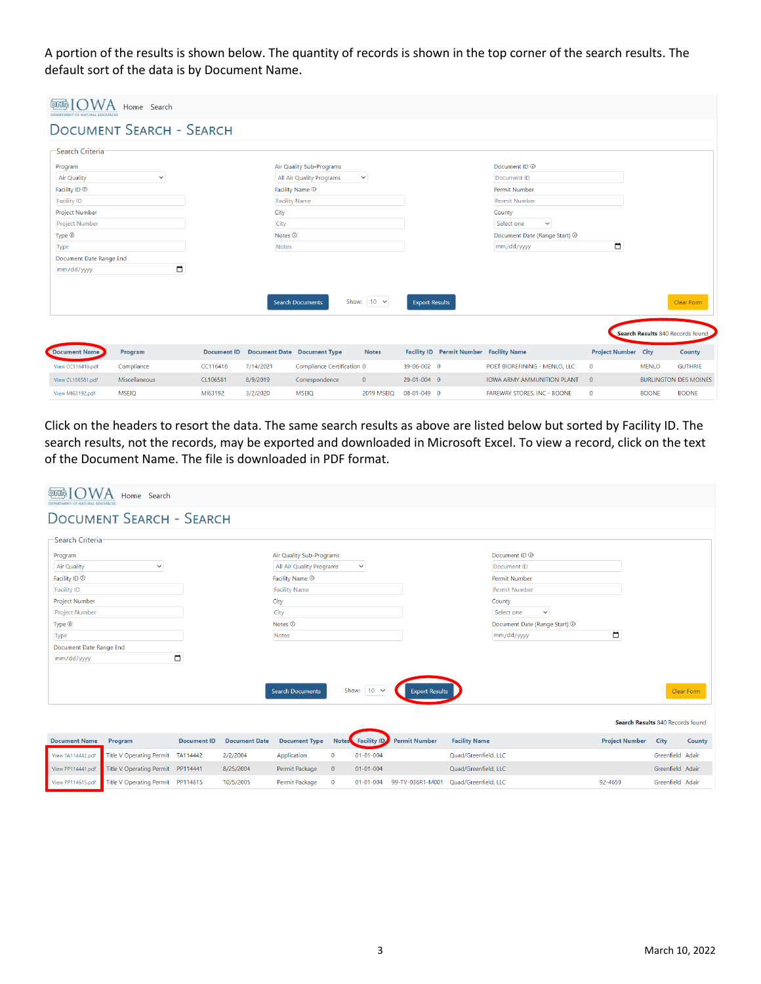A portion of the results is shown below. The quantity of records is shown in the top corner of the search results. The default sort of the data is by Document Name.

|                          | Home Search                     |                    |              |                                    |                   |                       |                                                |                                    |                            |                                  |                   |  |
|--------------------------|---------------------------------|--------------------|--------------|------------------------------------|-------------------|-----------------------|------------------------------------------------|------------------------------------|----------------------------|----------------------------------|-------------------|--|
|                          | <b>DOCUMENT SEARCH - SEARCH</b> |                    |              |                                    |                   |                       |                                                |                                    |                            |                                  |                   |  |
| -Search Criteria         |                                 |                    |              |                                    |                   |                       |                                                |                                    |                            |                                  |                   |  |
| Program                  |                                 |                    |              | Air Quality Sub-Programs           |                   |                       |                                                | Document ID <sup>(D)</sup>         |                            |                                  |                   |  |
| <b>Air Quality</b>       | $\checkmark$                    |                    |              | All Air Quality Programs           | $\checkmark$      |                       |                                                | Document ID                        |                            |                                  |                   |  |
| Facility ID <sup>1</sup> |                                 |                    |              | Facility Name $\odot$              |                   |                       |                                                | Permit Number                      |                            |                                  |                   |  |
| <b>Facility ID</b>       |                                 |                    |              | <b>Facility Name</b>               |                   |                       |                                                | Permit Number                      |                            |                                  |                   |  |
| <b>Project Number</b>    |                                 |                    | City         |                                    |                   |                       |                                                | County                             |                            |                                  |                   |  |
| <b>Project Number</b>    |                                 | City               |              |                                    |                   |                       | Select one<br>$\checkmark$                     |                                    |                            |                                  |                   |  |
| Type <sup>1</sup>        |                                 |                    |              | Notes <sup>(1)</sup>               |                   |                       |                                                | Document Date (Range Start) 1      |                            |                                  |                   |  |
| Type                     |                                 |                    | <b>Notes</b> |                                    |                   |                       |                                                | mm/dd/yyyy                         | ▭                          |                                  |                   |  |
| Document Date Range End  |                                 |                    |              |                                    |                   |                       |                                                |                                    |                            |                                  |                   |  |
| mm/dd/yyyy               | □                               |                    |              |                                    |                   |                       |                                                |                                    |                            |                                  |                   |  |
|                          |                                 |                    |              |                                    |                   |                       |                                                |                                    |                            |                                  |                   |  |
|                          |                                 |                    |              | <b>Search Documents</b>            | Show: $10 \times$ | <b>Export Results</b> |                                                |                                    |                            |                                  | <b>Clear Form</b> |  |
|                          |                                 |                    |              |                                    |                   |                       |                                                |                                    |                            | Search Results 840 Records found |                   |  |
| Document Name            | Program                         | <b>Document ID</b> |              | <b>Document Date Document Type</b> | <b>Notes</b>      |                       | <b>Facility ID</b> Permit Number Facility Name |                                    | <b>Project Number City</b> |                                  | County            |  |
| View CC116416.pdf        | Compliance                      | CC116416           | 7/14/2021    | Compliance Certification 0         |                   | 39-06-002 0           |                                                | POET BIOREFINING - MENLO, LLC      | $\mathbf{0}$               | <b>MENLO</b>                     | <b>GUTHRIE</b>    |  |
| View CL106581.pdf        | Miscellaneous                   | CL106581           | 8/9/2019     | Correspondence                     | $\mathbf{0}$      | 29-01-004 0           |                                                | <b>IOWA ARMY AMMUNITION PLANT</b>  | $\overline{0}$             | <b>BURLINGTON DES MOINES</b>     |                   |  |
| View MI63192.pdf         | <b>MSEIQ</b>                    | MI63192            | 3/2/2020     | <b>MSEIQ</b>                       | 2019 MSEIQ        | 08-01-049 0           |                                                | <b>FAREWAY STORES, INC - BOONE</b> | $\mathbf 0$                | <b>BOONE</b>                     | <b>BOONE</b>      |  |

Click on the headers to resort the data. The same search results as above are listed below but sorted by Facility ID. The search results, not the records, may be exported and downloaded in Microsoft Excel. To view a record, click on the text of the Document Name. The file is downloaded in PDF format.

| DRIR<br>DEPARTMENT OF NATURAL RESOURCES | Home Search                       |                    |                      |                          |              |                   |                       |                      |                               |                                  |                  |               |
|-----------------------------------------|-----------------------------------|--------------------|----------------------|--------------------------|--------------|-------------------|-----------------------|----------------------|-------------------------------|----------------------------------|------------------|---------------|
|                                         | <b>DOCUMENT SEARCH - SEARCH</b>   |                    |                      |                          |              |                   |                       |                      |                               |                                  |                  |               |
| -Search Criteria                        |                                   |                    |                      |                          |              |                   |                       |                      |                               |                                  |                  |               |
| Program                                 |                                   |                    |                      | Air Quality Sub-Programs |              |                   |                       |                      | Document ID <sup>(1)</sup>    |                                  |                  |               |
| <b>Air Quality</b>                      | $\checkmark$                      |                    |                      | All Air Quality Programs |              | $\checkmark$      |                       |                      | Document ID                   |                                  |                  |               |
| Facility ID <sup>1</sup>                |                                   |                    |                      | Facility Name $\odot$    |              |                   |                       |                      | <b>Permit Number</b>          |                                  |                  |               |
| <b>Facility ID</b>                      |                                   |                    |                      | <b>Facility Name</b>     |              |                   |                       |                      | Permit Number                 |                                  |                  |               |
| Project Number                          |                                   |                    |                      | City                     |              |                   |                       |                      | County                        |                                  |                  |               |
| <b>Project Number</b>                   |                                   |                    |                      | City                     |              |                   |                       |                      | Select one<br>$\checkmark$    |                                  |                  |               |
| Type $\circledcirc$                     |                                   |                    |                      | Notes $\mathbb O$        |              |                   |                       |                      | Document Date (Range Start) 1 |                                  |                  |               |
| Type                                    |                                   |                    |                      | Notes                    |              |                   |                       |                      | mm/dd/yyyy                    | $\Box$                           |                  |               |
| Document Date Range End                 |                                   |                    |                      |                          |              |                   |                       |                      |                               |                                  |                  |               |
| mm/dd/yyyy                              |                                   | $\Box$             |                      |                          |              |                   |                       |                      |                               |                                  |                  |               |
|                                         |                                   |                    |                      | <b>Search Documents</b>  |              | Show: $10 \times$ | <b>Export Results</b> |                      |                               |                                  |                  | Clear Form    |
|                                         |                                   |                    |                      |                          |              |                   |                       |                      |                               | Search Results 840 Records found |                  |               |
| <b>Document Name</b>                    | Program                           | <b>Document ID</b> | <b>Document Date</b> | <b>Document Type</b>     |              | Notes Facility ID | <b>Permit Number</b>  | <b>Facility Name</b> |                               | <b>Project Number</b>            | City             | <b>County</b> |
| View TA114442.pdf                       | Title V Operating Permit TA114442 |                    | 2/2/2004             | Application              | $\mathbf{0}$ | $01 - 01 - 004$   |                       | Quad/Greenfield, LLC |                               |                                  | Greenfield Adair |               |

 $01 - 01 - 004$ 

Quad/Greenfield, LLC

01-01-004 99-TV-036R1-M001 Quad/Greenfield, LLC

View PP114441.pdf

View PP114615.pdf

Title V Operating Permit PP114441

Title V Operating Permit PP114615

8/25/2004

10/5/2005

Permit Package 0

Permit Package 0

Greenfield Adair

Greenfield Adair

92-4659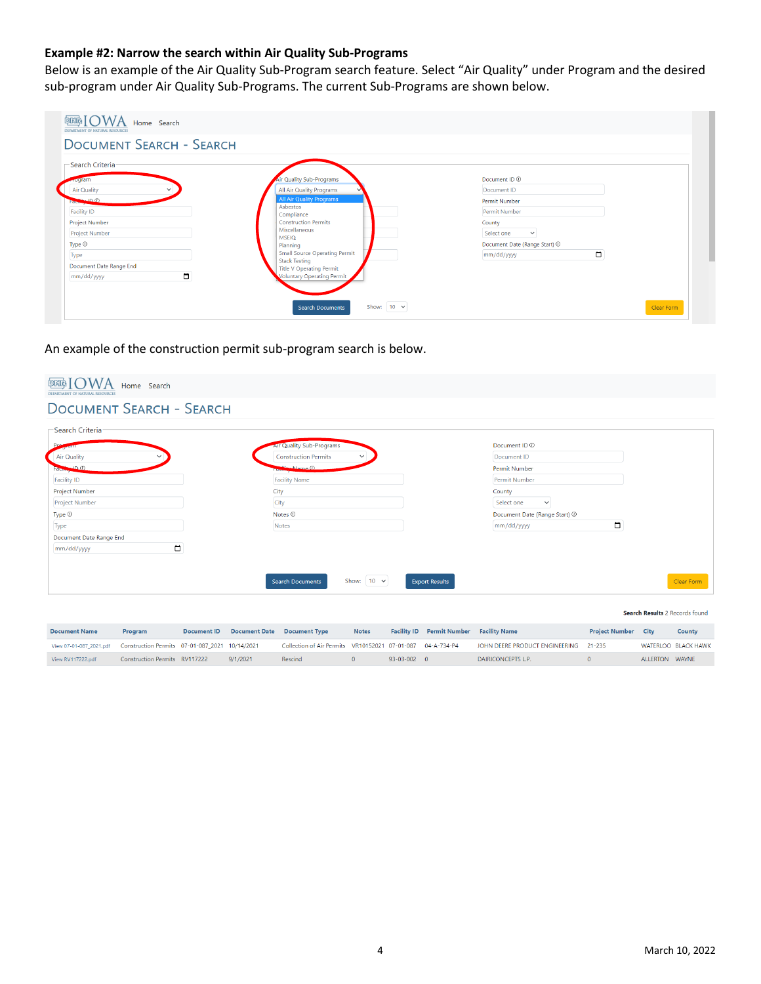# **Example #2: Narrow the search within Air Quality Sub-Programs**

Below is an example of the Air Quality Sub-Program search feature. Select "Air Quality" under Program and the desired sub-program under Air Quality Sub-Programs. The current Sub-Programs are shown below.

|                                     | <b>DOCUMENT SEARCH - SEARCH</b>                         |                               |
|-------------------------------------|---------------------------------------------------------|-------------------------------|
| -Search Criteria-<br><b>Address</b> | Air Quality Sub-Programs                                | Document ID <sup>(1)</sup>    |
| Air Quality<br>$\checkmark$         | All Air Quality Programs                                | Document ID                   |
| $CD = 0$<br><b>REAL</b>             | <b>All Air Quality Programs</b>                         | Permit Number                 |
| <b>Facility ID</b>                  | Asbestos<br>Compliance                                  | Permit Number                 |
| Project Number                      | <b>Construction Permits</b>                             | County                        |
| <b>Project Number</b>               | Miscellaneous<br><b>MSEIO</b>                           | Select one<br>$\checkmark$    |
| Type <sup>1</sup>                   | Planning                                                | Document Date (Range Start) 1 |
| Type                                | <b>Small Source Operating Permit</b>                    | $\Box$<br>mm/dd/yyyy          |
| Document Date Range End             | <b>Stack Testing</b><br><b>Title V Operating Permit</b> |                               |
| $\Box$<br>mm/dd/yyyy                | <b>Voluntary Operating Permit</b>                       |                               |

An example of the construction permit sub-program search is below.

| <b>AIF Quality Sub-Programs</b>                                | Document ID <sup>(1)</sup>      |
|----------------------------------------------------------------|---------------------------------|
| <b>Construction Permits</b><br>$\checkmark$                    | Document ID                     |
| <b>The Name (i)</b>                                            | Permit Number                   |
| <b>Facility Name</b>                                           | Permit Number                   |
| City                                                           | County                          |
| City                                                           | Select one<br>$\checkmark$      |
| Notes $@$                                                      | Document Date (Range Start) 1   |
| Notes                                                          | $\Box$<br>mm/dd/yyyy            |
|                                                                |                                 |
|                                                                |                                 |
|                                                                |                                 |
| Show: $10 \times$<br><b>Export Results</b><br>Search Documents | Clear Form                      |
|                                                                | <b>DOCUMENT SEARCH - SEARCH</b> |

| <b>Document Name</b>                                                            | Program                       | Document ID Document Date Document Type |                                                            | <b>Notes</b> |               | <b>Facility ID</b> Permit Number Facility Name |                                       | <b>Project Number City</b> |                | County                     |
|---------------------------------------------------------------------------------|-------------------------------|-----------------------------------------|------------------------------------------------------------|--------------|---------------|------------------------------------------------|---------------------------------------|----------------------------|----------------|----------------------------|
| View 07-01-087 2021.pdf    Construction Permits    07-01-087 2021    10/14/2021 |                               |                                         | Collection of Air Permits VR10152021 07-01-087 04-A-734-P4 |              |               |                                                | JOHN DEERE PRODUCT ENGINEERING 21-235 |                            |                | <b>WATERLOO BLACK HAWK</b> |
| View RV117222.pdf                                                               | Construction Permits RV117222 | 9/1/2021                                | Rescind                                                    | $\Omega$     | $93-03-002$ 0 |                                                | DAIRICONCEPTS L.P.                    |                            | ALLERTON WAYNE |                            |

Search Results 2 Records found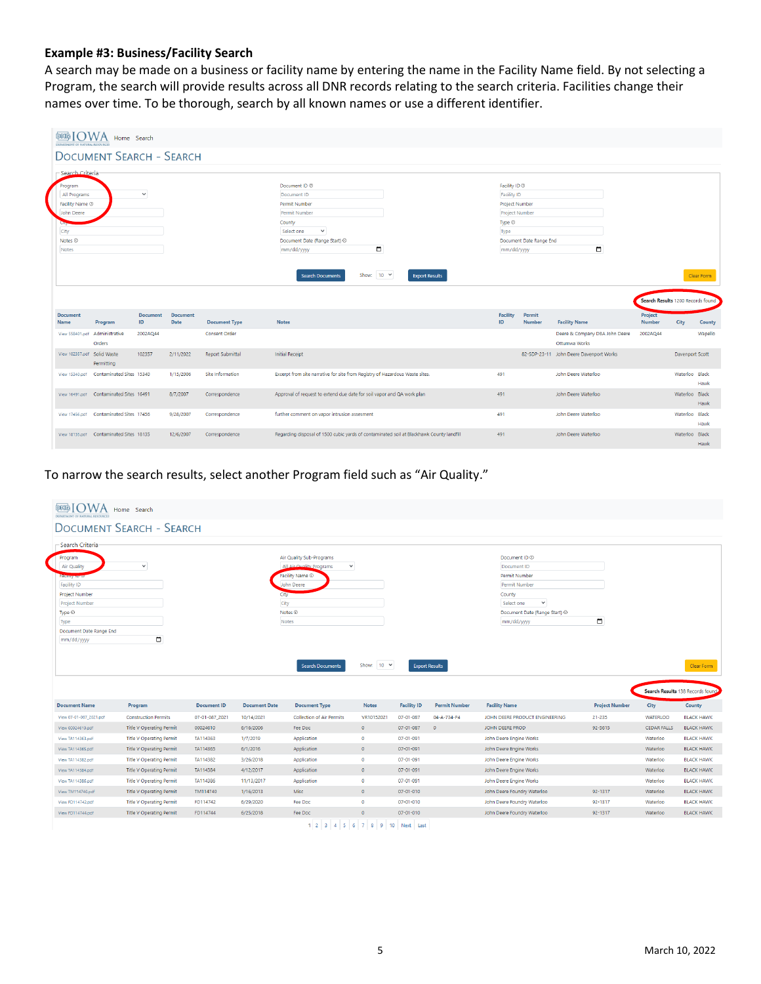# **Example #3: Business/Facility Search**

A search may be made on a business or facility name by entering the name in the Facility Name field. By not selecting a Program, the search will provide results across all DNR records relating to the search criteria. Facilities change their names over time. To be thorough, search by all known names or use a different identifier.

| <b>DETR</b><br>DEPARTMENT OF NATURAL RESOURCES                                                  | Home Search                              |                       |                         |                         |                                                                                                                                                                           |                   |                       |                                                                                                                                               |                         |                                                 |                                   |                 |                |
|-------------------------------------------------------------------------------------------------|------------------------------------------|-----------------------|-------------------------|-------------------------|---------------------------------------------------------------------------------------------------------------------------------------------------------------------------|-------------------|-----------------------|-----------------------------------------------------------------------------------------------------------------------------------------------|-------------------------|-------------------------------------------------|-----------------------------------|-----------------|----------------|
|                                                                                                 | <b>DOCUMENT SEARCH - SEARCH</b>          |                       |                         |                         |                                                                                                                                                                           |                   |                       |                                                                                                                                               |                         |                                                 |                                   |                 |                |
| -Search Criteria                                                                                |                                          |                       |                         |                         |                                                                                                                                                                           |                   |                       |                                                                                                                                               |                         |                                                 |                                   |                 |                |
| Program<br>All Programs<br>Facility Name 1<br>John Deere<br>City<br>Notes <sup>1</sup><br>Notes |                                          | $\checkmark$          |                         |                         | Document ID <sup>(1)</sup><br>Document ID<br><b>Permit Number</b><br>Permit Number<br>County<br>$\checkmark$<br>Select one<br>Document Date (Range Start) @<br>mm/dd/yyyy | $\blacksquare$    |                       | Facility ID <sup>O</sup><br><b>Facility ID</b><br><b>Project Number</b><br><b>Project Number</b><br>Type $\circledcirc$<br>Type<br>mm/dd/yyyy | Document Date Range End | $\Box$                                          |                                   |                 |                |
|                                                                                                 |                                          |                       |                         |                         | <b>Search Documents</b>                                                                                                                                                   | Show: $10 \times$ | <b>Export Results</b> |                                                                                                                                               |                         |                                                 | Search Results 1200 Records found |                 | Clear Form     |
| <b>Document</b><br><b>Name</b>                                                                  | Program                                  | <b>Document</b><br>ID | <b>Document</b><br>Date | <b>Document Type</b>    | <b>Notes</b>                                                                                                                                                              |                   |                       | <b>Facility</b><br>ID                                                                                                                         | Permit<br><b>Number</b> | <b>Facility Name</b>                            | Project<br><b>Number</b>          | City            | County         |
|                                                                                                 | View 558401.pdf Administrative<br>Orders | 2002AQ44              |                         | <b>Consent Order</b>    |                                                                                                                                                                           |                   |                       |                                                                                                                                               |                         | Deere & Company DBA John Deere<br>Ottumwa Works | 2002AQ44                          |                 | Wapello        |
| View 102357.pdf Solid Waste                                                                     | Permitting                               | 102357                | 2/11/2022               | <b>Report Submittal</b> | <b>Initial Receipt</b>                                                                                                                                                    |                   |                       |                                                                                                                                               |                         | 82-SDP-23-11 John Deere Davenport Works         |                                   | Davenport Scott |                |
| View 15340.pdf                                                                                  | Contaminated Sites 15340                 |                       | 1/15/2006               | Site Information        | Excerpt from site narrative for site from Registry of Hazardous Waste sites.                                                                                              |                   |                       | 491                                                                                                                                           |                         | John Deere Waterloo                             |                                   | Waterloo Black  | Hawk           |
|                                                                                                 | View 16491.pdf Contaminated Sites 16491  |                       | 8/7/2007                | Correspondence          | Approval of request to extend due date for soil vapor and QA work plan                                                                                                    |                   |                       | 491                                                                                                                                           |                         | John Deere Waterloo                             |                                   | Waterloo Black  | Hawk           |
| View 17456.pdf                                                                                  | Contaminated Sites 17456                 |                       | 9/28/2007               | Correspondence          | further comment on vapor intrusion assesment                                                                                                                              |                   |                       | 491                                                                                                                                           |                         | John Deere Waterloo                             |                                   | Waterloo Black  | Hawk           |
|                                                                                                 | View 18135.pdf Contaminated Sites 18135  |                       | 12/6/2007               | Correspondence          | Regarding disposal of 1500 cubic yards of contaminated soil at Blackhawk County landfill                                                                                  |                   |                       | 491                                                                                                                                           |                         | John Deere Waterloo                             |                                   | Waterloo Black  | <b>Lincoln</b> |

To narrow the search results, select another Program field such as "Air Quality."

|                                              | <b>DOCUMENT SEARCH - SEARCH</b>                                    |                            |                       |                                             |                       |                        |                        |                                                   |                       |                                       |                                                      |
|----------------------------------------------|--------------------------------------------------------------------|----------------------------|-----------------------|---------------------------------------------|-----------------------|------------------------|------------------------|---------------------------------------------------|-----------------------|---------------------------------------|------------------------------------------------------|
| Search Criteria                              |                                                                    |                            |                       |                                             |                       |                        |                        |                                                   |                       |                                       |                                                      |
| Program                                      |                                                                    |                            |                       | Air Quality Sub-Programs                    |                       |                        |                        | Document ID <sup>(0)</sup>                        |                       |                                       |                                                      |
| <b>Air Quality</b>                           | $\checkmark$                                                       |                            |                       | All Air Quality Programs<br>$\checkmark$    |                       |                        |                        | Document ID                                       |                       |                                       |                                                      |
| acinty none                                  |                                                                    |                            |                       | Facility Name 1                             |                       |                        |                        | <b>Permit Number</b>                              |                       |                                       |                                                      |
| <b>Facility ID</b>                           |                                                                    |                            |                       | John Deere                                  |                       |                        |                        | <b>Permit Number</b>                              |                       |                                       |                                                      |
| Project Number                               |                                                                    |                            | City                  |                                             |                       |                        |                        | County                                            |                       |                                       |                                                      |
| <b>Project Number</b>                        |                                                                    |                            | City                  |                                             |                       |                        |                        | $\checkmark$<br>Select one                        |                       |                                       |                                                      |
| Type <sup>1</sup>                            |                                                                    |                            |                       | Notes <b>1</b>                              |                       |                        |                        | Document Date (Range Start) 1                     |                       |                                       |                                                      |
| <b>Type</b>                                  |                                                                    |                            |                       | Notes                                       |                       |                        |                        | mm/dd/yyyy                                        | $\Box$                |                                       |                                                      |
| Document Date Range End<br>mm/dd/yyyy        | $\Box$                                                             |                            |                       |                                             |                       |                        |                        |                                                   |                       |                                       |                                                      |
|                                              |                                                                    |                            |                       | <b>Search Documents</b>                     | Show: $10 \times$     |                        | <b>Export Results</b>  |                                                   |                       |                                       |                                                      |
|                                              |                                                                    |                            |                       |                                             |                       |                        |                        |                                                   |                       | Search Results 138 Records found      |                                                      |
| <b>Document Name</b>                         | Program                                                            | <b>Document ID</b>         | <b>Document Date</b>  | <b>Document Type</b>                        | <b>Notes</b>          | <b>Facility ID</b>     | <b>Permit Number</b>   | <b>Facility Name</b>                              | <b>Project Number</b> | City                                  | County                                               |
| View 07-01-087_2021.pdf<br>View 00024610.pdf | <b>Construction Permits</b>                                        | 07-01-087_2021<br>00024610 | 10/14/2021            | <b>Collection of Air Permits</b><br>Fee Doc | VR10152021<br>$\circ$ | 07-01-087<br>07-01-087 | 04-A-734-P4<br>$\circ$ | JOHN DEERE PRODUCT ENGINEERING<br>JOHN DEERE PROD | 21-235<br>92-5615     | <b>WATERLOO</b><br><b>CEDAR FALLS</b> | Clear Form<br><b>BLACK HAWK</b><br><b>BLACK HAWK</b> |
| View TA114363.pdf                            | <b>Title V Operating Permit</b><br><b>Title V Operating Permit</b> | TA114363                   | 6/16/2006<br>1/7/2019 | Application                                 | $\bullet$             | $07 - 01 - 091$        |                        | John Deere Engine Works                           |                       | Waterloo                              | <b>BLACK HAWK</b>                                    |
| View TA114365.pdf                            | <b>Title V Operating Permit</b>                                    | TA114365                   | 6/1/2016              | Application                                 | $\circ$               | 07-01-091              |                        | John Deere Engine Works                           |                       | Waterloo                              | <b>BLACK HAWK</b>                                    |
| View TA114382.pdf                            | <b>Title V Operating Permit</b>                                    | TA114382                   | 3/26/2018             | Application                                 | $\bullet$             | 07-01-091              |                        | John Deere Engine Works                           |                       | Waterloo                              | <b>BLACK HAWK</b>                                    |
| View TA114384.pdf                            | <b>Title V Operating Permit</b>                                    | TA114384                   | 4/12/2017             | Application                                 | $\circ$               | 07-01-091              |                        | John Deere Engine Works                           |                       | Waterloo                              | <b>BLACK HAWK</b>                                    |
| View TA114386.pdf                            | <b>Title V Operating Permit</b>                                    | TA114386                   | 11/13/2017            | Application                                 | $\bullet$             | 07-01-091              |                        | John Deere Engine Works                           |                       | Waterloo                              | <b>BLACK HAWK</b>                                    |
| View TM114740.pdf                            | <b>Title V Operating Permit</b>                                    | TM114740                   | 1/16/2013             | Misc                                        | $\circ$               | $07 - 01 - 010$        |                        | John Deere Foundry Waterloo                       | 92-1317               | Waterloo                              | <b>BLACK HAWK</b>                                    |
| View FD114742.pdf                            | <b>Title V Operating Permit</b>                                    | FD114742                   | 6/29/2020             | Fee Doc                                     | $\bullet$             | $07 - 01 - 010$        |                        | John Deere Foundry Waterloo                       | 92-1317               | Waterloo                              | <b>BLACK HAWK</b>                                    |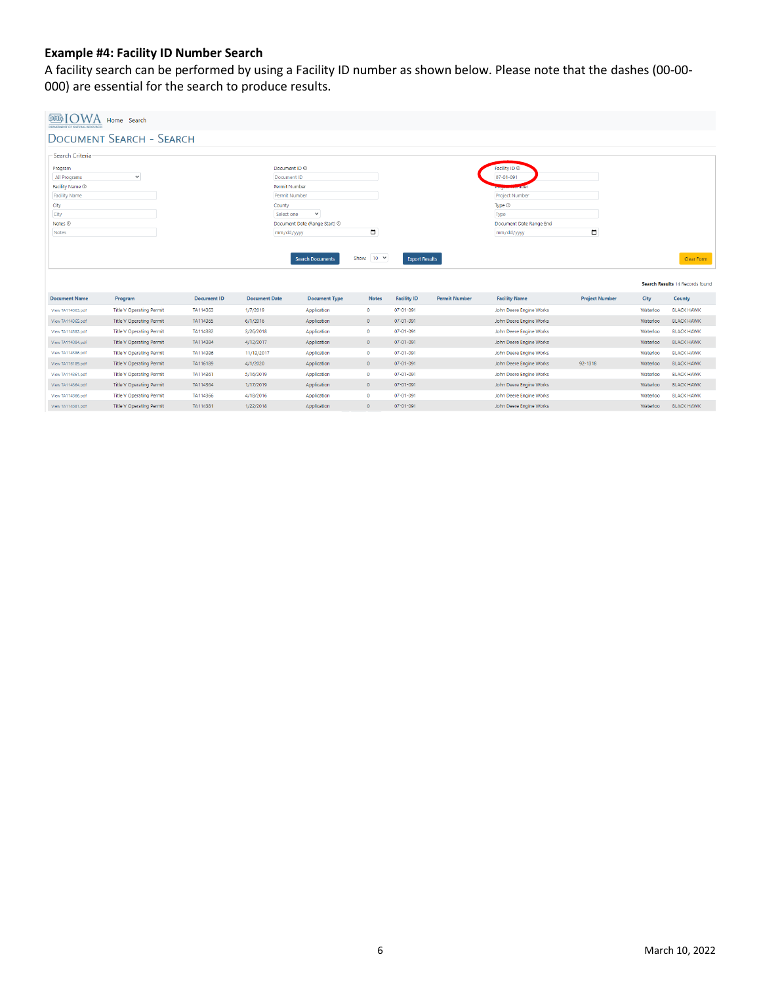# **Example #4: Facility ID Number Search**

A facility search can be performed by using a Facility ID number as shown below. Please note that the dashes (00-00- 000) are essential for the search to produce results.

| DEFARTMENT OF NATURAL RESOURCE  | Home Search                     |                    |                                           |                               |                   |                       |                      |                                          |                       |          |                                 |
|---------------------------------|---------------------------------|--------------------|-------------------------------------------|-------------------------------|-------------------|-----------------------|----------------------|------------------------------------------|-----------------------|----------|---------------------------------|
|                                 | <b>DOCUMENT SEARCH - SEARCH</b> |                    |                                           |                               |                   |                       |                      |                                          |                       |          |                                 |
| -Search Criteria-               |                                 |                    |                                           |                               |                   |                       |                      |                                          |                       |          |                                 |
|                                 |                                 |                    |                                           |                               |                   |                       |                      |                                          |                       |          |                                 |
| Program                         | $\checkmark$                    |                    | Document ID <sup>(D)</sup><br>Document ID |                               |                   |                       |                      | Facility ID <sup>(1)</sup><br>07-01-091  |                       |          |                                 |
| All Programs<br>Facility Name 1 |                                 |                    | <b>Permit Number</b>                      |                               |                   |                       |                      |                                          |                       |          |                                 |
| <b>Facility Name</b>            |                                 |                    | Permit Number                             |                               |                   |                       |                      | Programment1001<br><b>Project Number</b> |                       |          |                                 |
| City                            |                                 |                    | County                                    |                               |                   |                       |                      | Type $\circledcirc$                      |                       |          |                                 |
| City                            |                                 |                    | Select one                                | $\check{~}$                   |                   |                       |                      | Type                                     |                       |          |                                 |
| Notes <sup>(D)</sup>            |                                 |                    |                                           | Document Date (Range Start) 1 |                   |                       |                      | Document Date Range End                  |                       |          |                                 |
| Notes                           |                                 |                    | mm/dd/yyyy                                |                               | $\blacksquare$    |                       |                      | mm/dd/yyyy                               | $\Box$                |          |                                 |
|                                 |                                 |                    |                                           |                               |                   |                       |                      |                                          |                       |          |                                 |
|                                 |                                 |                    |                                           |                               |                   |                       |                      |                                          |                       |          |                                 |
|                                 |                                 |                    |                                           | <b>Search Documents</b>       | Show: $10 \times$ | <b>Export Results</b> |                      |                                          |                       |          | Clear Form                      |
|                                 |                                 |                    |                                           |                               |                   |                       |                      |                                          |                       |          |                                 |
|                                 |                                 |                    |                                           |                               |                   |                       |                      |                                          |                       |          | Search Results 14 Records found |
| <b>Document Name</b>            | Program                         | <b>Document ID</b> | <b>Document Date</b>                      | <b>Document Type</b>          | <b>Notes</b>      | <b>Facility ID</b>    | <b>Permit Number</b> | <b>Facility Name</b>                     | <b>Project Number</b> | City     | County                          |
| View TA114363.pdf               | <b>Title V Operating Permit</b> | TA114363           | 1/7/2019                                  | Application                   | $\bullet$         | $07 - 01 - 091$       |                      | John Deere Engine Works                  |                       | Waterloo | <b>BLACK HAWK</b>               |
| View TA114365.pdf               | <b>Title V Operating Permit</b> | TA114365           | 6/1/2016                                  | Application                   | $\bullet$         | $07 - 01 - 091$       |                      | John Deere Engine Works                  |                       | Waterloo | <b>BLACK HAWK</b>               |
| View TA114382.pdf               | <b>Title V Operating Permit</b> | TA114382           | 3/26/2018                                 | Application                   | $\bullet$         | $07 - 01 - 091$       |                      | John Deere Engine Works                  |                       | Waterloo | <b>BLACK HAWK</b>               |
| View TA114384.pdf               | <b>Title V Operating Permit</b> | TA114384           | 4/12/2017                                 | Application                   | $\bullet$         | $07 - 01 - 091$       |                      | John Deere Engine Works                  |                       | Waterloo | <b>BLACK HAWK</b>               |
| View TA114386.pdf               | <b>Title V Operating Permit</b> | TA114386           | 11/13/2017                                | Application                   | $\bullet$         | $07 - 01 - 091$       |                      | John Deere Engine Works                  |                       | Waterloo | <b>BLACK HAWK</b>               |
| View TA116189.pdf               | <b>Title V Operating Permit</b> | TA116189           | 4/1/2020                                  | Application                   | $\bullet$         | 07-01-091             |                      | John Deere Engine Works                  | 92-1318               | Waterloo | <b>BLACK HAWK</b>               |
| View TA114361.pdf               | <b>Title V Operating Permit</b> | TA114361           | 5/16/2019                                 | Application                   | $\bullet$         | $07 - 01 - 091$       |                      | John Deere Engine Works                  |                       | Waterloo | <b>BLACK HAWK</b>               |
| View TA114364.pdf               | <b>Title V Operating Permit</b> | TA114364           | 1/17/2019                                 | Application                   | $\bullet$         | $07 - 01 - 091$       |                      | John Deere Engine Works                  |                       | Waterloo | <b>BLACK HAWK</b>               |
| View TA114366.pdf               | <b>Title V Operating Permit</b> | TA114366           | 4/18/2016                                 | Application                   | $\bullet$         | 07-01-091             |                      | John Deere Engine Works                  |                       | Waterloo | <b>BLACK HAWK</b>               |
| View TA114381.pdf               | <b>Title V Operating Permit</b> | TA114381           | 1/22/2018                                 | Application                   | $\bullet$         | $07 - 01 - 091$       |                      | John Deere Engine Works                  |                       | Waterloo | <b>BLACK HAWK</b>               |
|                                 |                                 |                    |                                           |                               |                   |                       |                      |                                          |                       |          |                                 |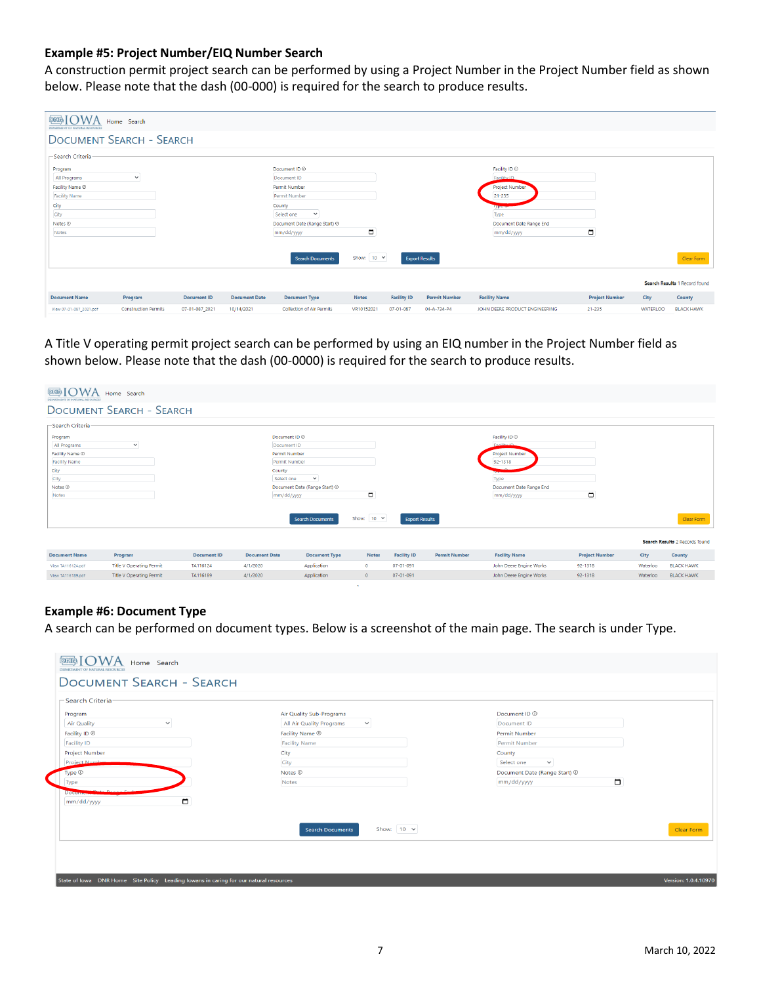#### **Example #5: Project Number/EIQ Number Search**

A construction permit project search can be performed by using a Project Number in the Project Number field as shown below. Please note that the dash (00-000) is required for the search to produce results.

| <b>BBIOWA</b><br>DEPARTMENT OF NATURAL RESOURCES | Home Search                 |                    |                      |                                  |                   |                    |                       |                                |                       |                 |                               |
|--------------------------------------------------|-----------------------------|--------------------|----------------------|----------------------------------|-------------------|--------------------|-----------------------|--------------------------------|-----------------------|-----------------|-------------------------------|
| <b>DOCUMENT SEARCH - SEARCH</b>                  |                             |                    |                      |                                  |                   |                    |                       |                                |                       |                 |                               |
| -Search Criteria-                                |                             |                    |                      |                                  |                   |                    |                       |                                |                       |                 |                               |
| Program                                          |                             |                    |                      | Document ID <sup>(D)</sup>       |                   |                    |                       | Facility ID <sup>(D)</sup>     |                       |                 |                               |
| All Programs                                     | $\checkmark$                |                    |                      | Document ID                      |                   |                    |                       | Facility ID                    |                       |                 |                               |
| Facility Name 1                                  |                             |                    |                      | Permit Number                    |                   |                    |                       | Project Number                 |                       |                 |                               |
| <b>Facility Name</b>                             |                             |                    |                      | Permit Number                    |                   |                    |                       | 21-235                         |                       |                 |                               |
| City                                             |                             |                    |                      | County                           |                   |                    |                       | lype                           |                       |                 |                               |
| City                                             |                             |                    |                      | Select one<br>$\checkmark$       |                   |                    |                       | Type                           |                       |                 |                               |
| Notes <b><i>O</i></b>                            |                             |                    |                      | Document Date (Range Start) 1    |                   |                    |                       | Document Date Range End        |                       |                 |                               |
| Notes                                            |                             |                    |                      | mm/dd/yyyy                       | $\blacksquare$    |                    |                       | mm/dd/yyyy                     | $\Box$                |                 |                               |
|                                                  |                             |                    |                      |                                  |                   |                    |                       |                                |                       |                 |                               |
|                                                  |                             |                    |                      | <b>Search Documents</b>          | Show: $10 \times$ |                    | <b>Export Results</b> |                                |                       |                 | Clear Form                    |
|                                                  |                             |                    |                      |                                  |                   |                    |                       |                                |                       |                 | Search Results 1 Record found |
| <b>Document Name</b>                             | Program                     | <b>Document ID</b> | <b>Document Date</b> | <b>Document Type</b>             | <b>Notes</b>      | <b>Facility ID</b> | <b>Permit Number</b>  | <b>Facility Name</b>           | <b>Project Number</b> | City            | County                        |
| View 07-01-087_2021.pdf                          | <b>Construction Permits</b> | 07-01-087_2021     | 10/14/2021           | <b>Collection of Air Permits</b> | VR10152021        | 07-01-087          | 04-A-734-P4           | JOHN DEERE PRODUCT ENGINEERING | 21-235                | <b>WATERLOO</b> | <b>BLACK HAWK</b>             |

A Title V operating permit project search can be performed by using an EIQ number in the Project Number field as shown below. Please note that the dash (00-0000) is required for the search to produce results.

| <b>EERIOWA</b><br>DEPARTMENT OF NATURAL RESOURCES                                                                   | Home Search                     |                    |                                                                                                                          |                                                 |                   |                       |                      |                                                                                                                              |                       |          |                                |
|---------------------------------------------------------------------------------------------------------------------|---------------------------------|--------------------|--------------------------------------------------------------------------------------------------------------------------|-------------------------------------------------|-------------------|-----------------------|----------------------|------------------------------------------------------------------------------------------------------------------------------|-----------------------|----------|--------------------------------|
|                                                                                                                     | <b>DOCUMENT SEARCH - SEARCH</b> |                    |                                                                                                                          |                                                 |                   |                       |                      |                                                                                                                              |                       |          |                                |
| Search Criteria                                                                                                     |                                 |                    |                                                                                                                          |                                                 |                   |                       |                      |                                                                                                                              |                       |          |                                |
| Program<br>All Programs<br>Facility Name 1<br><b>Facility Name</b><br>City<br>City<br>Notes <sup>(D)</sup><br>Notes | $\checkmark$                    |                    | Document ID <sup>(D)</sup><br>Document ID<br><b>Permit Number</b><br>Permit Number<br>County<br>Select one<br>mm/dd/yyyy | $\checkmark$<br>Document Date (Range Start) (D) | $\blacksquare$    |                       |                      | Facility ID <sup>®</sup><br><b>Coolling</b> at<br>Project Number<br>92-1318<br>Type<br>Document Date Range End<br>mm/dd/yyyy | $\Box$                |          |                                |
|                                                                                                                     |                                 |                    |                                                                                                                          | <b>Search Documents</b>                         | Show: $10 \times$ | <b>Export Results</b> |                      |                                                                                                                              |                       |          | Clear Form                     |
|                                                                                                                     |                                 |                    |                                                                                                                          |                                                 |                   |                       |                      |                                                                                                                              |                       |          | Search Results 2 Records found |
| <b>Document Name</b>                                                                                                | Program                         | <b>Document ID</b> | <b>Document Date</b>                                                                                                     | <b>Document Type</b>                            | <b>Notes</b>      | <b>Facility ID</b>    | <b>Permit Number</b> | <b>Facility Name</b>                                                                                                         | <b>Project Number</b> | City     | County                         |
| View TA116124.odf                                                                                                   | <b>Title V Operating Permit</b> | TA116124           | 4/1/2020                                                                                                                 | Application                                     | $\circ$           | 07-01-091             |                      | John Deere Engine Works                                                                                                      | $92 - 1318$           | Waterloo | <b>BLACK HAWK</b>              |
| View TA116189.pdf                                                                                                   | <b>Title V Operating Permit</b> | TA116189           | 4/1/2020                                                                                                                 | Application                                     | $\circ$           | 07-01-091             |                      | John Deere Engine Works                                                                                                      | 92-1318               | Waterloo | <b>BLACK HAWK</b>              |

## **Example #6: Document Type**

A search can be performed on document types. Below is a screenshot of the main page. The search is under Type.

| -Search Criteria<br>Program<br><b>Air Quality</b><br>$\checkmark$<br>Facility ID <sup>(D)</sup><br><b>Facility ID</b><br>Project Number<br>Project Number<br>Type $\circledcirc$<br>Type<br><b>Docum</b><br>$\Box$<br>mm/dd/yyyy | Air Quality Sub-Programs<br>All Air Quality Programs<br>$\checkmark$<br>Facility Name $\Phi$<br><b>Facility Name</b><br>City<br>City<br>Notes $@$<br>Notes | Document ID <sup>(0)</sup><br>Document ID<br><b>Permit Number</b><br>Permit Number<br>County<br>Select one<br>$\checkmark$<br>Document Date (Range Start) <sup>1</sup><br>$\Box$<br>mm/dd/yyyy |
|----------------------------------------------------------------------------------------------------------------------------------------------------------------------------------------------------------------------------------|------------------------------------------------------------------------------------------------------------------------------------------------------------|------------------------------------------------------------------------------------------------------------------------------------------------------------------------------------------------|
|                                                                                                                                                                                                                                  | Show: $10 \times$<br><b>Search Documents</b>                                                                                                               | Clear Form                                                                                                                                                                                     |